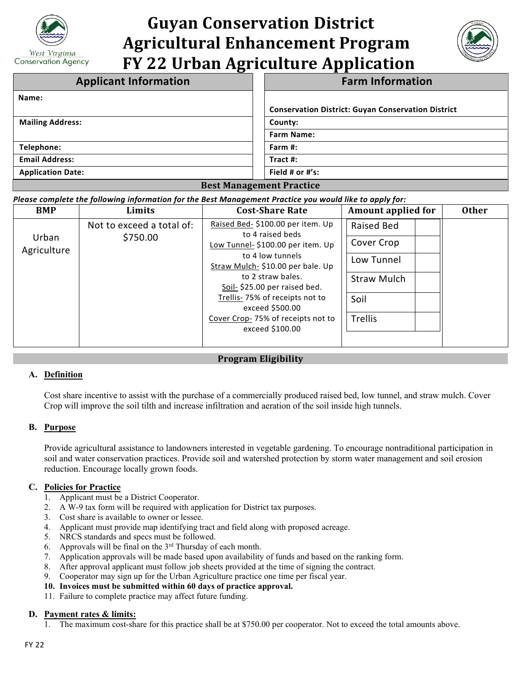

# **Guyan Conservation District Agricultural Enhancement Program FY 22 Urban Agriculture Application**



| <b>Applicant Information</b>    | <b>Farm Information</b>                                   |  |  |  |
|---------------------------------|-----------------------------------------------------------|--|--|--|
| Name:                           |                                                           |  |  |  |
|                                 | <b>Conservation District: Guyan Conservation District</b> |  |  |  |
| <b>Mailing Address:</b>         | County:                                                   |  |  |  |
|                                 | <b>Farm Name:</b>                                         |  |  |  |
| Telephone:                      | Farm #:                                                   |  |  |  |
| <b>Email Address:</b>           | Tract $#$ :                                               |  |  |  |
| <b>Application Date:</b>        | Field # or $\#$ 's:                                       |  |  |  |
| <b>Best Management Practice</b> |                                                           |  |  |  |

*Please complete the following information for the Best Management Practice you would like to apply for:*

| <b>BMP</b>           | Limits                                               | <b>Cost-Share Rate</b>                                | <b>Amount applied for</b> | <b>Other</b> |
|----------------------|------------------------------------------------------|-------------------------------------------------------|---------------------------|--------------|
|                      | Not to exceed a total of:                            | Raised Bed- \$100.00 per item. Up<br>to 4 raised beds | Raised Bed                |              |
| Urban<br>Agriculture | \$750.00                                             | Low Tunnel- \$100.00 per item. Up                     | Cover Crop                |              |
|                      | to 4 low tunnels<br>Straw Mulch-\$10.00 per bale. Up | Low Tunnel                                            |                           |              |
|                      |                                                      | to 2 straw bales.<br>Soil- \$25.00 per raised bed.    | <b>Straw Mulch</b>        |              |
|                      |                                                      | Trellis-75% of receipts not to<br>exceed \$500.00     | Soil                      |              |
|                      |                                                      | Cover Crop-75% of receipts not to<br>exceed \$100.00  | Trellis                   |              |
|                      |                                                      |                                                       |                           |              |

## **Program Eligibility**

## **A. Definition**

Cost share incentive to assist with the purchase of a commercially produced raised bed, low tunnel, and straw mulch. Cover Crop will improve the soil tilth and increase infiltration and aeration of the soil inside high tunnels.

### **B. Purpose**

Provide agricultural assistance to landowners interested in vegetable gardening. To encourage nontraditional participation in soil and water conservation practices. Provide soil and watershed protection by storm water management and soil erosion reduction. Encourage locally grown foods.

### **C. Policies for Practice**

- 1. Applicant must be a District Cooperator.
- 2. A W-9 tax form will be required with application for District tax purposes.
- 3. Cost share is available to owner or lessee.
- 4. Applicant must provide map identifying tract and field along with proposed acreage.
- 5. NRCS standards and specs must be followed.
- 6. Approvals will be final on the  $3<sup>rd</sup>$  Thursday of each month.
- 7. Application approvals will be made based upon availability of funds and based on the ranking form.
- 8. After approval applicant must follow job sheets provided at the time of signing the contract.
- 9. Cooperator may sign up for the Urban Agriculture practice one time per fiscal year.
- **10. Invoices must be submitted within 60 days of practice approval.**
- 11. Failure to complete practice may affect future funding.

### **D. Payment rates & limits:**

1. The maximum cost-share for this practice shall be at \$750.00 per cooperator. Not to exceed the total amounts above.